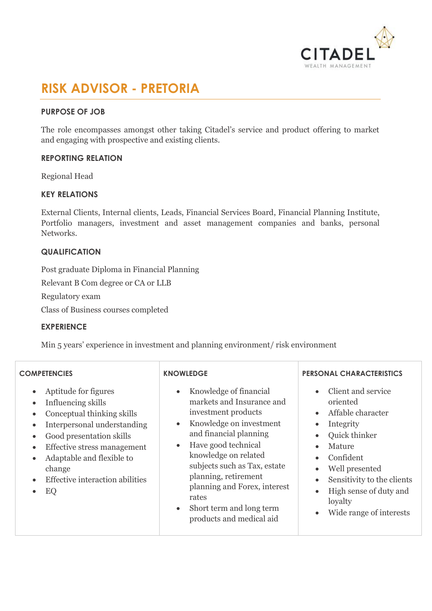

# **RISK ADVISOR - PRETORIA**

## **PURPOSE OF JOB**

The role encompasses amongst other taking Citadel's service and product offering to market and engaging with prospective and existing clients.

#### **REPORTING RELATION**

Regional Head

#### **KEY RELATIONS**

External Clients, Internal clients, Leads, Financial Services Board, Financial Planning Institute, Portfolio managers, investment and asset management companies and banks, personal Networks.

#### **QUALIFICATION**

Post graduate Diploma in Financial Planning

Relevant B Com degree or CA or LLB

Regulatory exam

Class of Business courses completed

#### **EXPERIENCE**

Min 5 years' experience in investment and planning environment/ risk environment

| <b>COMPETENCIES</b>                                                                                                                                                                                                                                                                                                                           | <b>KNOWLEDGE</b>                                                                                                                                                                                                                                                                                                                                     | <b>PERSONAL CHARACTERISTICS</b>                                                                                                                                                                                                                                                                                                                            |
|-----------------------------------------------------------------------------------------------------------------------------------------------------------------------------------------------------------------------------------------------------------------------------------------------------------------------------------------------|------------------------------------------------------------------------------------------------------------------------------------------------------------------------------------------------------------------------------------------------------------------------------------------------------------------------------------------------------|------------------------------------------------------------------------------------------------------------------------------------------------------------------------------------------------------------------------------------------------------------------------------------------------------------------------------------------------------------|
| Aptitude for figures<br>$\bullet$<br>Influencing skills<br>$\bullet$<br>Conceptual thinking skills<br>Interpersonal understanding<br>$\bullet$<br>Good presentation skills<br>$\bullet$<br>Effective stress management<br>$\bullet$<br>Adaptable and flexible to<br>$\bullet$<br>change<br>Effective interaction abilities<br>EQ<br>$\bullet$ | Knowledge of financial<br>markets and Insurance and<br>investment products<br>Knowledge on investment<br>and financial planning<br>Have good technical<br>$\bullet$<br>knowledge on related<br>subjects such as Tax, estate<br>planning, retirement<br>planning and Forex, interest<br>rates<br>Short term and long term<br>products and medical aid | Client and service<br>$\bullet$<br>oriented<br>Affable character<br>$\bullet$<br>Integrity<br>$\bullet$<br>Quick thinker<br>$\bullet$<br>Mature<br>$\bullet$<br>Confident<br>$\bullet$<br>Well presented<br>$\bullet$<br>Sensitivity to the clients<br>$\bullet$<br>High sense of duty and<br>$\bullet$<br>loyalty<br>Wide range of interests<br>$\bullet$ |